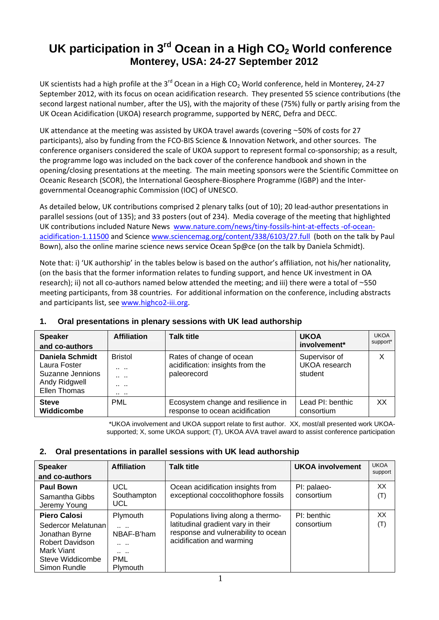## UK participation in 3<sup>rd</sup> Ocean in a High CO<sub>2</sub> World conference **Monterey, USA: 24-27 September 2012**

UK scientists had a high profile at the 3<sup>rd</sup> Ocean in a High CO<sub>2</sub> World conference, held in Monterey, 24-27 September 2012, with its focus on ocean acidification research. They presented 55 science contributions (the second largest national number, after the US), with the majority of these (75%) fully or partly arising from the UK Ocean Acidification (UKOA) research programme, supported by NERC, Defra and DECC.

UK attendance at the meeting was assisted by UKOA travel awards (covering ~50% of costs for 27 participants), also by funding from the FCO-BIS Science & Innovation Network, and other sources. The conference organisers considered the scale of UKOA support to represent formal co-sponsorship; as a result, the programme logo was included on the back cover of the conference handbook and shown in the opening/closing presentations at the meeting. The main meeting sponsors were the Scientific Committee on Oceanic Research (SCOR), the International Geosphere‐Biosphere Programme (IGBP) and the Inter‐ governmental Oceanographic Commission (IOC) of UNESCO.

As detailed below, UK contributions comprised 2 plenary talks (out of 10); 20 lead‐author presentations in parallel sessions (out of 135); and 33 posters (out of 234). Media coverage of the meeting that highlighted UK contributions included Nature News www.nature.com/news/tiny‐fossils‐hint‐at‐effects ‐of‐ocean‐ acidification‐1.11500 and Science www.sciencemag.org/content/338/6103/27.full (both on the talk by Paul Bown), also the online marine science news service Ocean Sp@ce (on the talk by Daniela Schmidt).

Note that: i) 'UK authorship' in the tables below is based on the author's affiliation, not his/her nationality, (on the basis that the former information relates to funding support, and hence UK investment in OA research); ii) not all co-authors named below attended the meeting; and iii) there were a total of  $\sim$ 550 meeting participants, from 38 countries. For additional information on the conference, including abstracts and participants list, see www.highco2-iii.org.

| <b>Speaker</b><br>and co-authors                                                            | <b>Affiliation</b>                             | <b>Talk title</b>                                                           | <b>UKOA</b><br>involvement*               | <b>UKOA</b><br>support* |
|---------------------------------------------------------------------------------------------|------------------------------------------------|-----------------------------------------------------------------------------|-------------------------------------------|-------------------------|
| <b>Daniela Schmidt</b><br>Laura Foster<br>Suzanne Jennions<br>Andy Ridgwell<br>Ellen Thomas | <b>Bristol</b><br>$\cdots$<br><br>$\cdots$<br> | Rates of change of ocean<br>acidification: insights from the<br>paleorecord | Supervisor of<br>UKOA research<br>student | X                       |
| <b>Steve</b><br>Widdicombe                                                                  | <b>PML</b>                                     | Ecosystem change and resilience in<br>response to ocean acidification       | Lead PI: benthic<br>consortium            | ХX                      |

## **1. Oral presentations in plenary sessions with UK lead authorship**

 \*UKOA involvement and UKOA support relate to first author. XX, most/all presented work UKOAsupported; X, some UKOA support; (T), UKOA AVA travel award to assist conference participation

## **2. Oral presentations in parallel sessions with UK lead authorship**

| <b>Speaker</b>                                                               | <b>Affiliation</b>                             | <b>Talk title</b>                                                                                      | <b>UKOA involvement</b> | <b>UKOA</b><br>support |
|------------------------------------------------------------------------------|------------------------------------------------|--------------------------------------------------------------------------------------------------------|-------------------------|------------------------|
| and co-authors                                                               |                                                |                                                                                                        |                         |                        |
| <b>Paul Bown</b>                                                             | UCL                                            | Ocean acidification insights from                                                                      | PI: palaeo-             | XX                     |
| Samantha Gibbs<br>Jeremy Young                                               | Southampton<br>UCL.                            | exceptional coccolithophore fossils                                                                    | consortium              | (T)                    |
| <b>Piero Calosi</b>                                                          | Plymouth                                       | Populations living along a thermo-                                                                     | PI: benthic             | XX                     |
| Sedercor Melatunan<br>Jonathan Byrne<br><b>Robert Davidson</b><br>Mark Viant | $\cdots$<br>NBAF-B'ham<br>$\cdots$<br>$\cdots$ | latitudinal gradient vary in their<br>response and vulnerability to ocean<br>acidification and warming | consortium              | (T)                    |
| Steve Widdicombe<br>Simon Rundle                                             | PML<br>Plymouth                                |                                                                                                        |                         |                        |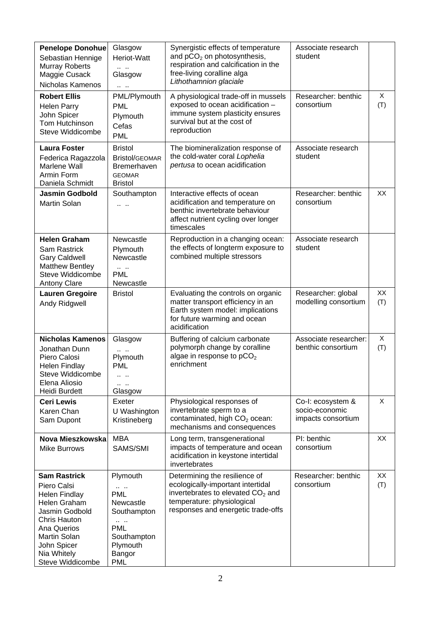| <b>Penelope Donohue</b><br>Sebastian Hennige<br>Murray Roberts<br>Maggie Cusack<br>Nicholas Kamenos                                                                                                  | Glasgow<br>Heriot-Watt<br><br>Glasgow<br>$\mathbf{a}$                                                                                                                | Synergistic effects of temperature<br>and pCO <sub>2</sub> on photosynthesis,<br>respiration and calcification in the<br>free-living coralline alga<br>Lithothamnion glaciale           | Associate research<br>student                             |           |
|------------------------------------------------------------------------------------------------------------------------------------------------------------------------------------------------------|----------------------------------------------------------------------------------------------------------------------------------------------------------------------|-----------------------------------------------------------------------------------------------------------------------------------------------------------------------------------------|-----------------------------------------------------------|-----------|
| <b>Robert Ellis</b><br><b>Helen Parry</b><br>John Spicer<br>Tom Hutchinson<br><b>Steve Widdicombe</b>                                                                                                | PML/Plymouth<br><b>PML</b><br>Plymouth<br>Cefas<br><b>PML</b>                                                                                                        | A physiological trade-off in mussels<br>exposed to ocean acidification -<br>immune system plasticity ensures<br>survival but at the cost of<br>reproduction                             | Researcher: benthic<br>consortium                         | X<br>(T)  |
| <b>Laura Foster</b><br>Federica Ragazzola<br>Marlene Wall<br>Armin Form<br>Daniela Schmidt                                                                                                           | <b>Bristol</b><br><b>Bristol/GEOMAR</b><br>Bremerhaven<br><b>GEOMAR</b><br><b>Bristol</b>                                                                            | The biomineralization response of<br>the cold-water coral Lophelia<br>pertusa to ocean acidification                                                                                    | Associate research<br>student                             |           |
| <b>Jasmin Godbold</b><br><b>Martin Solan</b>                                                                                                                                                         | Southampton                                                                                                                                                          | Interactive effects of ocean<br>acidification and temperature on<br>benthic invertebrate behaviour<br>affect nutrient cycling over longer<br>timescales                                 | Researcher: benthic<br>consortium                         | XX        |
| <b>Helen Graham</b><br><b>Sam Rastrick</b><br><b>Gary Caldwell</b><br><b>Matthew Bentley</b><br>Steve Widdicombe<br><b>Antony Clare</b>                                                              | Newcastle<br>Plymouth<br>Newcastle<br><br><b>PML</b><br>Newcastle                                                                                                    | Reproduction in a changing ocean:<br>the effects of longterm exposure to<br>combined multiple stressors                                                                                 | Associate research<br>student                             |           |
| <b>Lauren Gregoire</b><br>Andy Ridgwell                                                                                                                                                              | <b>Bristol</b>                                                                                                                                                       | Evaluating the controls on organic<br>matter transport efficiency in an<br>Earth system model: implications<br>for future warming and ocean<br>acidification                            | Researcher: global<br>modelling consortium                | XX<br>(T) |
| <b>Nicholas Kamenos</b><br>Jonathan Dunn<br>Piero Calosi<br><b>Helen Findlay</b><br>Steve Widdicombe<br>Elena Aliosio<br><b>Heidi Burdett</b>                                                        | Glasgow<br>$\mathbf{a}$<br>Plymouth<br><b>PML</b><br><br>Glasgow                                                                                                     | Buffering of calcium carbonate<br>polymorph change by coralline<br>algae in response to $pCO2$<br>enrichment                                                                            | Associate researcher:<br>benthic consortium               | X<br>(T)  |
| <b>Ceri Lewis</b><br>Karen Chan<br>Sam Dupont                                                                                                                                                        | Exeter<br>U Washington<br>Kristineberg                                                                                                                               | Physiological responses of<br>invertebrate sperm to a<br>contaminated, high CO <sub>2</sub> ocean:<br>mechanisms and consequences                                                       | Co-I: ecosystem &<br>socio-economic<br>impacts consortium | X         |
| Nova Mieszkowska<br><b>Mike Burrows</b>                                                                                                                                                              | <b>MBA</b><br>SAMS/SMI                                                                                                                                               | Long term, transgenerational<br>impacts of temperature and ocean<br>acidification in keystone intertidal<br>invertebrates                                                               | PI: benthic<br>consortium                                 | XX        |
| <b>Sam Rastrick</b><br>Piero Calsi<br><b>Helen Findlay</b><br>Helen Graham<br>Jasmin Godbold<br>Chris Hauton<br>Ana Querios<br><b>Martin Solan</b><br>John Spicer<br>Nia Whitely<br>Steve Widdicombe | Plymouth<br>$\mathbf{a}$ and $\mathbf{a}$<br><b>PML</b><br>Newcastle<br>Southampton<br>$\mathbf{a}$<br><b>PML</b><br>Southampton<br>Plymouth<br>Bangor<br><b>PML</b> | Determining the resilience of<br>ecologically-important intertidal<br>invertebrates to elevated CO <sub>2</sub> and<br>temperature: physiological<br>responses and energetic trade-offs | Researcher: benthic<br>consortium                         | XX<br>(T) |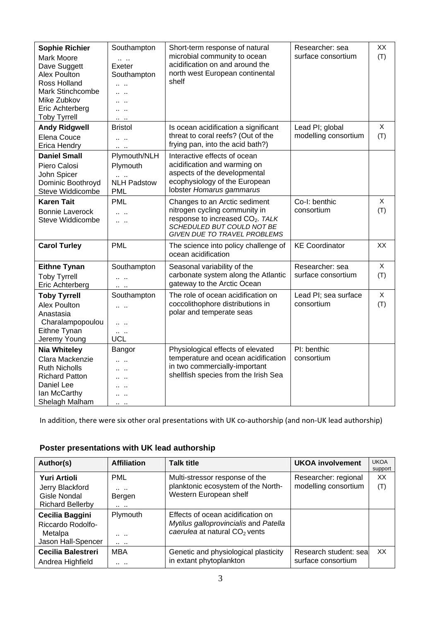| <b>Sophie Richier</b><br>Mark Moore<br>Dave Suggett<br>Alex Poulton<br>Ross Holland<br><b>Mark Stinchcombe</b><br>Mike Zubkov<br>Eric Achterberg<br><b>Toby Tyrrell</b> | Southampton<br>$\mathbf{a}$<br>Exeter<br>Southampton<br>$\cdots$<br>$\ddotsc$<br>$\cdots$<br>$\cdots$ $\cdots$ | Short-term response of natural<br>microbial community to ocean<br>acidification on and around the<br>north west European continental<br>shelf             | Researcher: sea<br>surface consortium   | ХX<br>(T)             |
|-------------------------------------------------------------------------------------------------------------------------------------------------------------------------|----------------------------------------------------------------------------------------------------------------|-----------------------------------------------------------------------------------------------------------------------------------------------------------|-----------------------------------------|-----------------------|
| <b>Andy Ridgwell</b><br>Elena Couce                                                                                                                                     | <b>Bristol</b><br>$\cdots$                                                                                     | Is ocean acidification a significant<br>threat to coral reefs? (Out of the                                                                                | Lead PI; global<br>modelling consortium | $\pmb{\times}$<br>(T) |
| Erica Hendry                                                                                                                                                            | $\mathbf{a}$                                                                                                   | frying pan, into the acid bath?)                                                                                                                          |                                         |                       |
| <b>Daniel Small</b><br>Piero Calosi<br>John Spicer<br>Dominic Boothroyd<br>Steve Widdicombe                                                                             | Plymouth/NLH<br>Plymouth<br>$\mathbf{a}$<br><b>NLH Padstow</b><br><b>PML</b>                                   | Interactive effects of ocean<br>acidification and warming on<br>aspects of the developmental<br>ecophysiology of the European<br>lobster Homarus gammarus |                                         |                       |
| <b>Karen Tait</b><br><b>Bonnie Laverock</b><br><b>Steve Widdicombe</b>                                                                                                  | <b>PML</b><br>$\cdots$<br>                                                                                     | Changes to an Arctic sediment<br>nitrogen cycling community in<br>response to increased CO <sub>2</sub> . TALK<br>SCHEDULED BUT COULD NOT BE              | Co-I: benthic<br>consortium             | X<br>(T)              |
|                                                                                                                                                                         |                                                                                                                | GIVEN DUE TO TRAVEL PROBLEMS                                                                                                                              |                                         |                       |
| <b>Carol Turley</b>                                                                                                                                                     | <b>PML</b>                                                                                                     | The science into policy challenge of<br>ocean acidification                                                                                               | <b>KE Coordinator</b>                   | XX                    |
| <b>Eithne Tynan</b>                                                                                                                                                     | Southampton                                                                                                    | Seasonal variability of the                                                                                                                               | Researcher: sea                         | X                     |
| <b>Toby Tyrrell</b><br>Eric Achterberg                                                                                                                                  | $\mathbf{a}$<br>$\cdots$                                                                                       | carbonate system along the Atlantic<br>gateway to the Arctic Ocean                                                                                        | surface consortium                      | (T)                   |
| <b>Toby Tyrrell</b>                                                                                                                                                     | Southampton                                                                                                    | The role of ocean acidification on                                                                                                                        | Lead PI; sea surface                    | X                     |
| Alex Poulton<br>Anastasia<br>Charalampopoulou                                                                                                                           | $\cdots$                                                                                                       | coccolithophore distributions in<br>polar and temperate seas                                                                                              | consortium                              | (T)                   |
| Eithne Tynan<br>Jeremy Young                                                                                                                                            | $\cdots$<br><b>UCL</b>                                                                                         |                                                                                                                                                           |                                         |                       |
| <b>Nia Whiteley</b>                                                                                                                                                     | Bangor                                                                                                         | Physiological effects of elevated                                                                                                                         | PI: benthic                             |                       |
| Clara Mackenzie<br><b>Ruth Nicholls</b><br><b>Richard Patton</b><br>Daniel Lee<br>lan McCarthy<br>Shelagh Malham                                                        | <br>$\cdots$<br>٠.                                                                                             | temperature and ocean acidification<br>in two commercially-important<br>shellfish species from the Irish Sea                                              | consortium                              |                       |

In addition, there were six other oral presentations with UK co-authorship (and non-UK lead authorship)

| Author(s)                                                                         | <b>Affiliation</b>                                        | <b>Talk title</b>                                                                                                       | <b>UKOA involvement</b>                      | <b>UKOA</b><br>support |
|-----------------------------------------------------------------------------------|-----------------------------------------------------------|-------------------------------------------------------------------------------------------------------------------------|----------------------------------------------|------------------------|
| <b>Yuri Artioli</b><br>Jerry Blackford<br>Gisle Nondal<br><b>Richard Bellerby</b> | <b>PML</b><br>$\cdots$<br>Bergen<br>$\cdots \quad \cdots$ | Multi-stressor response of the<br>planktonic ecosystem of the North-<br>Western European shelf                          | Researcher: regional<br>modelling consortium | XX<br>(T)              |
| Cecilia Baggini<br>Riccardo Rodolfo-<br>Metalpa<br>Jason Hall-Spencer             | Plymouth<br>$\cdots$<br>$\cdots$                          | Effects of ocean acidification on<br>Mytilus galloprovincialis and Patella<br>caerulea at natural CO <sub>2</sub> vents |                                              |                        |
| <b>Cecilia Balestreri</b><br>Andrea Highfield                                     | <b>MBA</b><br>$\cdots$                                    | Genetic and physiological plasticity<br>in extant phytoplankton                                                         | Research student: seal<br>surface consortium | XX                     |

## **Poster presentations with UK lead authorship**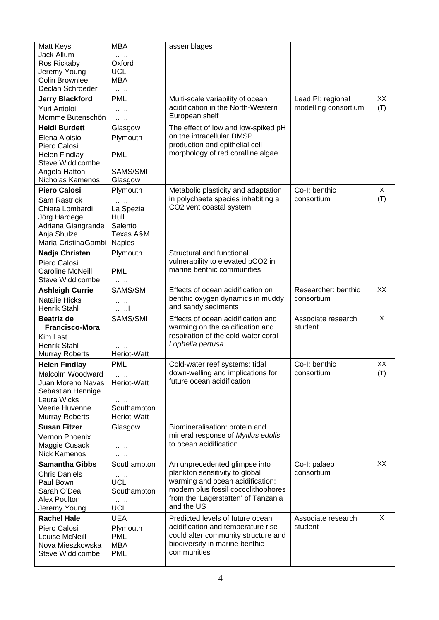| Matt Keys                     | <b>MBA</b>                                                  | assemblages                                                             |                                   |     |
|-------------------------------|-------------------------------------------------------------|-------------------------------------------------------------------------|-----------------------------------|-----|
| Jack Allum                    | $\mathbf{a}$ and $\mathbf{a}$                               |                                                                         |                                   |     |
| Ros Rickaby                   | Oxford                                                      |                                                                         |                                   |     |
| Jeremy Young                  | <b>UCL</b>                                                  |                                                                         |                                   |     |
| <b>Colin Brownlee</b>         | <b>MBA</b>                                                  |                                                                         |                                   |     |
| Declan Schroeder              | $\cdots$                                                    |                                                                         |                                   |     |
| <b>Jerry Blackford</b>        | <b>PML</b>                                                  | Multi-scale variability of ocean<br>acidification in the North-Western  | Lead PI; regional                 | XX  |
| Yuri Artioloi                 | $\ldots$                                                    | European shelf                                                          | modelling consortium              | (T) |
| Momme Butenschön              | $\mathbf{a}$                                                |                                                                         |                                   |     |
| <b>Heidi Burdett</b>          | Glasgow                                                     | The effect of low and low-spiked pH                                     |                                   |     |
| Elena Aloisio                 | Plymouth                                                    | on the intracellular DMSP<br>production and epithelial cell             |                                   |     |
| Piero Calosi<br>Helen Findlay | $\sim$ $\sim$<br><b>PML</b>                                 | morphology of red coralline algae                                       |                                   |     |
| Steve Widdicombe              | $\cdots$                                                    |                                                                         |                                   |     |
| Angela Hatton                 | SAMS/SMI                                                    |                                                                         |                                   |     |
| Nicholas Kamenos              | Glasgow                                                     |                                                                         |                                   |     |
| <b>Piero Calosi</b>           | Plymouth                                                    | Metabolic plasticity and adaptation                                     | Co-I; benthic                     | X   |
| <b>Sam Rastrick</b>           | $\cdots$                                                    | in polychaete species inhabiting a                                      | consortium                        | (T) |
| Chiara Lombardi               | La Spezia                                                   | CO2 vent coastal system                                                 |                                   |     |
| Jörg Hardege                  | Hull                                                        |                                                                         |                                   |     |
| Adriana Giangrande            | Salento                                                     |                                                                         |                                   |     |
| Anja Shulze                   | Texas A&M                                                   |                                                                         |                                   |     |
| Maria-CristinaGambi           | <b>Naples</b>                                               |                                                                         |                                   |     |
| Nadja Christen                | Plymouth                                                    | Structural and functional                                               |                                   |     |
| Piero Calosi                  | $\cdots$                                                    | vulnerability to elevated pCO2 in                                       |                                   |     |
| <b>Caroline McNeill</b>       | <b>PML</b>                                                  | marine benthic communities                                              |                                   |     |
| Steve Widdicombe              | $\cdots$                                                    |                                                                         |                                   |     |
| <b>Ashleigh Currie</b>        | SAMS/SM                                                     | Effects of ocean acidification on<br>benthic oxygen dynamics in muddy   | Researcher: benthic<br>consortium | XX  |
|                               |                                                             |                                                                         |                                   |     |
| <b>Natalie Hicks</b>          |                                                             |                                                                         |                                   |     |
| <b>Henrik Stahl</b>           | ا ا                                                         | and sandy sediments                                                     |                                   |     |
| <b>Beatriz de</b>             | SAMS/SMI                                                    | Effects of ocean acidification and                                      | Associate research                | X   |
| <b>Francisco-Mora</b>         |                                                             | warming on the calcification and<br>respiration of the cold-water coral | student                           |     |
| Kim Last<br>Henrik Stahl      |                                                             | Lophelia pertusa                                                        |                                   |     |
| <b>Murray Roberts</b>         | Heriot-Watt                                                 |                                                                         |                                   |     |
| <b>Helen Findlay</b>          | <b>PML</b>                                                  | Cold-water reef systems: tidal                                          | Co-I; benthic                     | XX  |
| Malcolm Woodward              | $\cdots$                                                    | down-welling and implications for                                       | consortium                        | (T) |
| Juan Moreno Navas             | Heriot-Watt                                                 | future ocean acidification                                              |                                   |     |
| Sebastian Hennige             | $\mathbf{a}$                                                |                                                                         |                                   |     |
| Laura Wicks                   | $\sim$                                                      |                                                                         |                                   |     |
| Veerie Huvenne                | Southampton                                                 |                                                                         |                                   |     |
| <b>Murray Roberts</b>         | Heriot-Watt                                                 |                                                                         |                                   |     |
| <b>Susan Fitzer</b>           | Glasgow                                                     | Biomineralisation: protein and                                          |                                   |     |
| Vernon Phoenix                |                                                             | mineral response of Mytilus edulis                                      |                                   |     |
| Maggie Cusack                 |                                                             | to ocean acidification                                                  |                                   |     |
| <b>Nick Kamenos</b>           | $\mathbf{r}$ , $\mathbf{r}$ , and                           |                                                                         |                                   |     |
| <b>Samantha Gibbs</b>         | Southampton                                                 | An unprecedented glimpse into                                           | Co-I: palaeo                      | XX  |
| <b>Chris Daniels</b>          | $\mathbf{a} \cdot \mathbf{a} = \mathbf{a} \cdot \mathbf{a}$ | plankton sensitivity to global<br>warming and ocean acidification:      | consortium                        |     |
| Paul Bown<br>Sarah O'Dea      | <b>UCL</b>                                                  | modern plus fossil coccolithophores                                     |                                   |     |
| <b>Alex Poulton</b>           | Southampton<br>$\cdots$                                     | from the 'Lagerstatten' of Tanzania                                     |                                   |     |
| Jeremy Young                  | <b>UCL</b>                                                  | and the US                                                              |                                   |     |
| <b>Rachel Hale</b>            | <b>UEA</b>                                                  | Predicted levels of future ocean                                        | Associate research                | X   |
| Piero Calosi                  | Plymouth                                                    | acidification and temperature rise                                      | student                           |     |
| Louise McNeill                | <b>PML</b>                                                  | could alter community structure and                                     |                                   |     |
| Nova Mieszkowska              | <b>MBA</b>                                                  | biodiversity in marine benthic                                          |                                   |     |
| Steve Widdicombe              | <b>PML</b>                                                  | communities                                                             |                                   |     |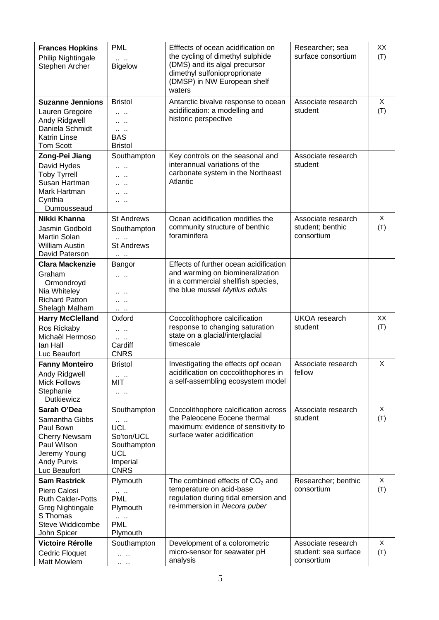| <b>Frances Hopkins</b><br>Philip Nightingale<br>Stephen Archer                                                                            | <b>PML</b><br>$\mathbf{a}$ and $\mathbf{a}$<br><b>Bigelow</b>                                                                                           | Efffects of ocean acidification on<br>the cycling of dimethyl sulphide<br>(DMS) and its algal precursor<br>dimethyl sulfonioproprionate<br>(DMSP) in NW European shelf<br>waters | Researcher; sea<br>surface consortium                    | XX<br>(T) |
|-------------------------------------------------------------------------------------------------------------------------------------------|---------------------------------------------------------------------------------------------------------------------------------------------------------|----------------------------------------------------------------------------------------------------------------------------------------------------------------------------------|----------------------------------------------------------|-----------|
| <b>Suzanne Jennions</b><br>Lauren Gregoire<br>Andy Ridgwell<br>Daniela Schmidt<br><b>Katrin Linse</b><br><b>Tom Scott</b>                 | <b>Bristol</b><br>$\cdots$<br>$\mathbf{a}$<br>$\cdots$<br><b>BAS</b><br><b>Bristol</b>                                                                  | Antarctic bivalve response to ocean<br>acidification: a modelling and<br>historic perspective                                                                                    | Associate research<br>student                            | X<br>(T)  |
| Zong-Pei Jiang<br>David Hydes<br><b>Toby Tyrrell</b><br>Susan Hartman<br>Mark Hartman<br>Cynthia<br>Dumousseaud                           | Southampton<br>$\cdots$<br><br>$\cdots$                                                                                                                 | Key controls on the seasonal and<br>interannual variations of the<br>carbonate system in the Northeast<br>Atlantic                                                               | Associate research<br>student                            |           |
| Nikki Khanna<br>Jasmin Godbold<br><b>Martin Solan</b><br><b>William Austin</b><br>David Paterson                                          | <b>St Andrews</b><br>Southampton<br><b>St Andrews</b><br>$\mathbf{r} = \mathbf{r} + \mathbf{r}$                                                         | Ocean acidification modifies the<br>community structure of benthic<br>foraminifera                                                                                               | Associate research<br>student; benthic<br>consortium     | X<br>(T)  |
| <b>Clara Mackenzie</b><br>Graham<br>Ormondroyd<br>Nia Whiteley<br><b>Richard Patton</b><br>Shelagh Malham                                 | Bangor<br><br><br>٠.<br>- 11                                                                                                                            | Effects of further ocean acidification<br>and warming on biomineralization<br>in a commercial shellfish species,<br>the blue mussel Mytilus edulis                               |                                                          |           |
| <b>Harry McClelland</b><br>Ros Rickaby<br>Michaël Hermoso<br>lan Hall<br>Luc Beaufort                                                     | Oxford<br><br>$\cdots$<br>Cardiff<br><b>CNRS</b>                                                                                                        | Coccolithophore calcification<br>response to changing saturation<br>state on a glacial/interglacial<br>timescale                                                                 | UKOA research<br>student                                 | XX<br>(T) |
| <b>Fanny Monteiro</b><br>Andy Ridgwell<br><b>Mick Follows</b><br>Stephanie<br><b>Dutkiewicz</b>                                           | <b>Bristol</b><br>$\cdots$<br><b>MIT</b>                                                                                                                | Investigating the effects opf ocean<br>acidification on coccolithophores in<br>a self-assembling ecosystem model                                                                 | Associate research<br>fellow                             | X         |
| Sarah O'Dea<br>Samantha Gibbs<br>Paul Bown<br><b>Cherry Newsam</b><br>Paul Wilson<br>Jeremy Young<br><b>Andy Purvis</b><br>Luc Beaufort   | Southampton<br>$\mathbf{a} \cdot \mathbf{a} = \mathbf{a} \cdot \mathbf{a}$<br><b>UCL</b><br>So'ton/UCL<br>Southampton<br>UCL<br>Imperial<br><b>CNRS</b> | Coccolithophore calcification across<br>the Paleocene Eocene thermal<br>maximum: evidence of sensitivity to<br>surface water acidification                                       | Associate research<br>student                            | X<br>(T)  |
| <b>Sam Rastrick</b><br>Piero Calosi<br><b>Ruth Calder-Potts</b><br>Greg Nightingale<br>S Thomas<br><b>Steve Widdicombe</b><br>John Spicer | Plymouth<br>$\mathbf{a} \cdot \mathbf{a} = \mathbf{a} \cdot \mathbf{a}$<br><b>PML</b><br>Plymouth<br>$\cdots$<br><b>PML</b><br>Plymouth                 | The combined effects of $CO2$ and<br>temperature on acid-base<br>regulation during tidal emersion and<br>re-immersion in Necora puber                                            | Researcher; benthic<br>consortium                        | X<br>(T)  |
| <b>Victoire Rérolle</b><br>Cedric Floquet<br>Matt Mowlem                                                                                  | Southampton<br>$\cdots$<br>$\cdots$ . $\cdots$                                                                                                          | Development of a colorometric<br>micro-sensor for seawater pH<br>analysis                                                                                                        | Associate research<br>student: sea surface<br>consortium | Χ<br>(T)  |